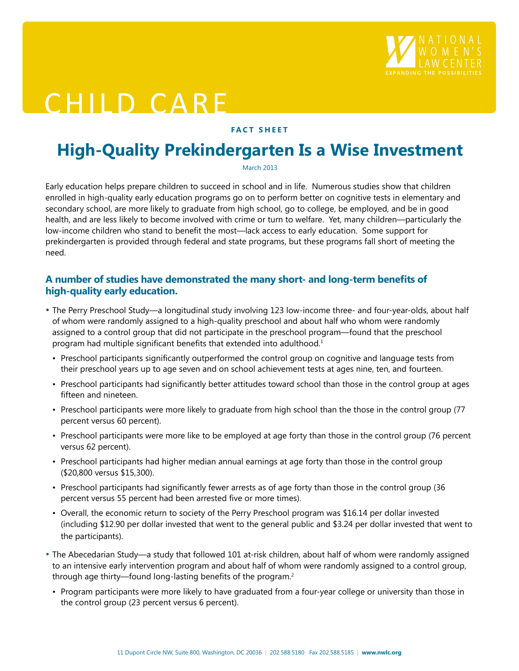

# CHILD CARE

#### **FACT SHEET**

## **High-Quality Prekindergarten Is a Wise Investment**

March 2013

Early education helps prepare children to succeed in school and in life. Numerous studies show that children enrolled in high-quality early education programs go on to perform better on cognitive tests in elementary and secondary school, are more likely to graduate from high school, go to college, be employed, and be in good health, and are less likely to become involved with crime or turn to welfare. Yet, many children—particularly the low-income children who stand to benefit the most—lack access to early education. Some support for prekindergarten is provided through federal and state programs, but these programs fall short of meeting the need.

#### **A number of studies have demonstrated the many short- and long-term benefits of high-quality early education.**

- The Perry Preschool Study—a longitudinal study involving 123 low-income three- and four-year-olds, about half of whom were randomly assigned to a high-quality preschool and about half who whom were randomly assigned to a control group that did not participate in the preschool program—found that the preschool program had multiple significant benefits that extended into adulthood.<sup>1</sup>
	- Preschool participants significantly outperformed the control group on cognitive and language tests from their preschool years up to age seven and on school achievement tests at ages nine, ten, and fourteen.
	- Preschool participants had significantly better attitudes toward school than those in the control group at ages fifteen and nineteen.
	- Preschool participants were more likely to graduate from high school than the those in the control group (77 percent versus 60 percent).
	- Preschool participants were more like to be employed at age forty than those in the control group (76 percent versus 62 percent).
	- Preschool participants had higher median annual earnings at age forty than those in the control group (\$20,800 versus \$15,300).
	- Preschool participants had significantly fewer arrests as of age forty than those in the control group (36 percent versus 55 percent had been arrested five or more times).
	- Overall, the economic return to society of the Perry Preschool program was \$16.14 per dollar invested (including \$12.90 per dollar invested that went to the general public and \$3.24 per dollar invested that went to the participants).
- The Abecedarian Study—a study that followed 101 at-risk children, about half of whom were randomly assigned to an intensive early intervention program and about half of whom were randomly assigned to a control group, through age thirty—found long-lasting benefits of the program.<sup>2</sup>
	- Program participants were more likely to have graduated from a four-year college or university than those in the control group (23 percent versus 6 percent).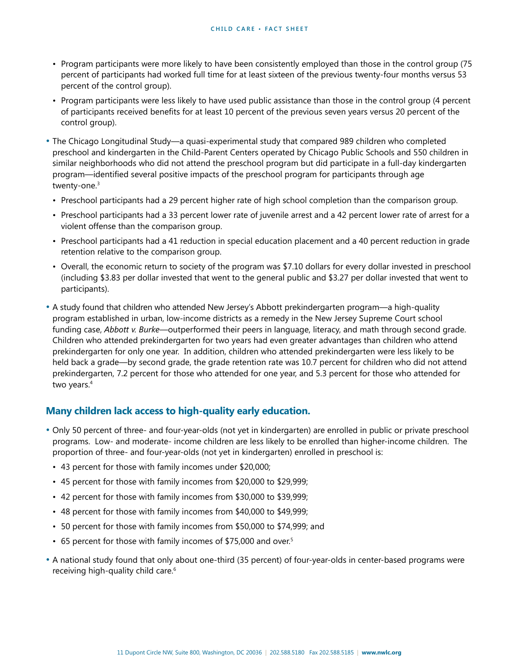- Program participants were more likely to have been consistently employed than those in the control group (75 percent of participants had worked full time for at least sixteen of the previous twenty-four months versus 53 percent of the control group).
- Program participants were less likely to have used public assistance than those in the control group (4 percent of participants received benefits for at least 10 percent of the previous seven years versus 20 percent of the control group).
- The Chicago Longitudinal Study—a quasi-experimental study that compared 989 children who completed preschool and kindergarten in the Child-Parent Centers operated by Chicago Public Schools and 550 children in similar neighborhoods who did not attend the preschool program but did participate in a full-day kindergarten program—identified several positive impacts of the preschool program for participants through age twenty-one.3
	- Preschool participants had a 29 percent higher rate of high school completion than the comparison group.
	- Preschool participants had a 33 percent lower rate of juvenile arrest and a 42 percent lower rate of arrest for a violent offense than the comparison group.
- Preschool participants had a 41 reduction in special education placement and a 40 percent reduction in grade retention relative to the comparison group.
- Overall, the economic return to society of the program was \$7.10 dollars for every dollar invested in preschool (including \$3.83 per dollar invested that went to the general public and \$3.27 per dollar invested that went to participants).
- A study found that children who attended New Jersey's Abbott prekindergarten program—a high-quality program established in urban, low-income districts as a remedy in the New Jersey Supreme Court school funding case, *Abbott v. Burke*—outperformed their peers in language, literacy, and math through second grade. Children who attended prekindergarten for two years had even greater advantages than children who attend prekindergarten for only one year. In addition, children who attended prekindergarten were less likely to be held back a grade—by second grade, the grade retention rate was 10.7 percent for children who did not attend prekindergarten, 7.2 percent for those who attended for one year, and 5.3 percent for those who attended for two years.<sup>4</sup>

#### **Many children lack access to high-quality early education.**

- Only 50 percent of three- and four-year-olds (not yet in kindergarten) are enrolled in public or private preschool programs. Low- and moderate- income children are less likely to be enrolled than higher-income children. The proportion of three- and four-year-olds (not yet in kindergarten) enrolled in preschool is:
- 43 percent for those with family incomes under \$20,000;
- 45 percent for those with family incomes from \$20,000 to \$29,999;
- 42 percent for those with family incomes from \$30,000 to \$39,999;
- 48 percent for those with family incomes from \$40,000 to \$49,999;
- 50 percent for those with family incomes from \$50,000 to \$74,999; and
- 65 percent for those with family incomes of \$75,000 and over.<sup>5</sup>
- A national study found that only about one-third (35 percent) of four-year-olds in center-based programs were receiving high-quality child care.<sup>6</sup>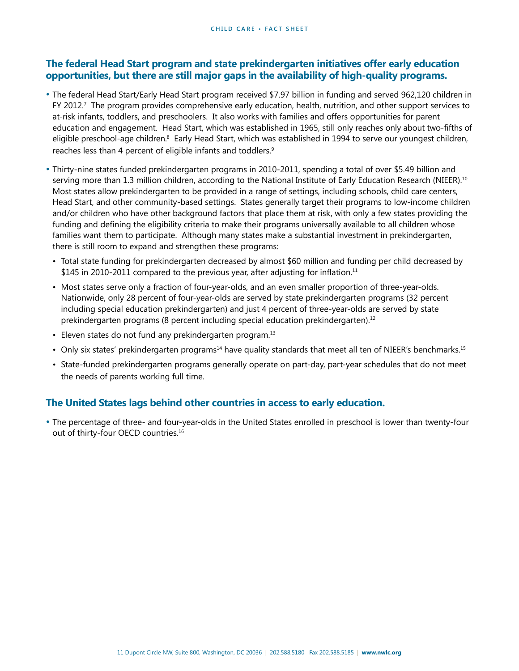#### **The federal Head Start program and state prekindergarten initiatives offer early education opportunities, but there are still major gaps in the availability of high-quality programs.**

- The federal Head Start/Early Head Start program received \$7.97 billion in funding and served 962,120 children in FY 2012.<sup>7</sup> The program provides comprehensive early education, health, nutrition, and other support services to at-risk infants, toddlers, and preschoolers. It also works with families and offers opportunities for parent education and engagement. Head Start, which was established in 1965, still only reaches only about two-fifths of eligible preschool-age children.<sup>8</sup> Early Head Start, which was established in 1994 to serve our youngest children, reaches less than 4 percent of eligible infants and toddlers.9
- Thirty-nine states funded prekindergarten programs in 2010-2011, spending a total of over \$5.49 billion and serving more than 1.3 million children, according to the National Institute of Early Education Research (NIEER).<sup>10</sup> Most states allow prekindergarten to be provided in a range of settings, including schools, child care centers, Head Start, and other community-based settings. States generally target their programs to low-income children and/or children who have other background factors that place them at risk, with only a few states providing the funding and defining the eligibility criteria to make their programs universally available to all children whose families want them to participate. Although many states make a substantial investment in prekindergarten, there is still room to expand and strengthen these programs:
- Total state funding for prekindergarten decreased by almost \$60 million and funding per child decreased by \$145 in 2010-2011 compared to the previous year, after adjusting for inflation.<sup>11</sup>
- Most states serve only a fraction of four-year-olds, and an even smaller proportion of three-year-olds. Nationwide, only 28 percent of four-year-olds are served by state prekindergarten programs (32 percent including special education prekindergarten) and just 4 percent of three-year-olds are served by state prekindergarten programs (8 percent including special education prekindergarten).<sup>12</sup>
- Eleven states do not fund any prekindergarten program.<sup>13</sup>
- Only six states' prekindergarten programs<sup>14</sup> have quality standards that meet all ten of NIEER's benchmarks.<sup>15</sup>
- State-funded prekindergarten programs generally operate on part-day, part-year schedules that do not meet the needs of parents working full time.

### **The United States lags behind other countries in access to early education.**

• The percentage of three- and four-year-olds in the United States enrolled in preschool is lower than twenty-four out of thirty-four OECD countries.<sup>16</sup>